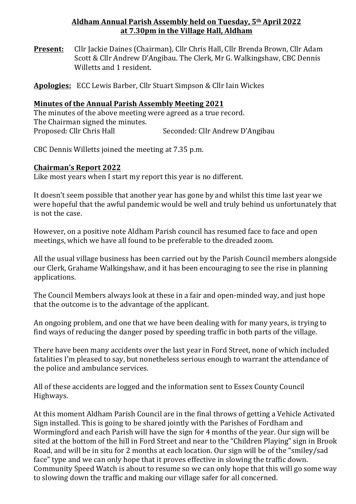### **Aldham Annual Parish Assembly held on Tuesday, 5th April 2022 at 7.30pm in the Village Hall, Aldham**

**Present:** Cllr Jackie Daines (Chairman), Cllr Chris Hall, Cllr Brenda Brown, Cllr Adam Scott & Cllr Andrew D'Angibau. The Clerk, Mr G. Walkingshaw, CBC Dennis Willetts and 1 resident.

Apologies: ECC Lewis Barber, Cllr Stuart Simpson & Cllr Iain Wickes

### **Minutes of the Annual Parish Assembly Meeting 2021**

The minutes of the above meeting were agreed as a true record. The Chairman signed the minutes. Proposed: Cllr Chris Hall Seconded: Cllr Andrew D'Angibau

CBC Dennis Willetts joined the meeting at 7.35 p.m.

# **Chairman's Report 2022**

Like most years when I start my report this year is no different.

It doesn't seem possible that another vear has gone by and whilst this time last vear we were hopeful that the awful pandemic would be well and truly behind us unfortunately that is not the case.

However, on a positive note Aldham Parish council has resumed face to face and open meetings, which we have all found to be preferable to the dreaded zoom.

All the usual village business has been carried out by the Parish Council members alongside our Clerk, Grahame Walkingshaw, and it has been encouraging to see the rise in planning applications.

The Council Members always look at these in a fair and open-minded way, and just hope that the outcome is to the advantage of the applicant.

An ongoing problem, and one that we have been dealing with for many years, is trying to find ways of reducing the danger posed by speeding traffic in both parts of the village.

There have been many accidents over the last year in Ford Street, none of which included fatalities I'm pleased to say, but nonetheless serious enough to warrant the attendance of the police and ambulance services.

All of these accidents are logged and the information sent to Essex County Council Highways.

At this moment Aldham Parish Council are in the final throws of getting a Vehicle Activated Sign installed. This is going to be shared jointly with the Parishes of Fordham and Wormingford and each Parish will have the sign for 4 months of the year. Our sign will be sited at the bottom of the hill in Ford Street and near to the "Children Playing" sign in Brook Road, and will be in situ for 2 months at each location. Our sign will be of the "smiley/sad face" type and we can only hope that it proves effective in slowing the traffic down. Community Speed Watch is about to resume so we can only hope that this will go some way to slowing down the traffic and making our village safer for all concerned.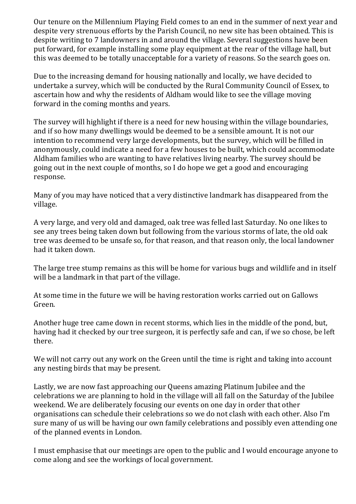Our tenure on the Millennium Playing Field comes to an end in the summer of next year and despite very strenuous efforts by the Parish Council, no new site has been obtained. This is despite writing to 7 landowners in and around the village. Several suggestions have been put forward, for example installing some play equipment at the rear of the village hall, but this was deemed to be totally unacceptable for a variety of reasons. So the search goes on.

Due to the increasing demand for housing nationally and locally, we have decided to undertake a survey, which will be conducted by the Rural Community Council of Essex, to ascertain how and why the residents of Aldham would like to see the village moving forward in the coming months and years.

The survey will highlight if there is a need for new housing within the village boundaries, and if so how many dwellings would be deemed to be a sensible amount. It is not our intention to recommend very large developments, but the survey, which will be filled in anonymously, could indicate a need for a few houses to be built, which could accommodate Aldham families who are wanting to have relatives living nearby. The survey should be going out in the next couple of months, so I do hope we get a good and encouraging response.

Many of you may have noticed that a very distinctive landmark has disappeared from the village.

A very large, and very old and damaged, oak tree was felled last Saturday. No one likes to see any trees being taken down but following from the various storms of late, the old oak tree was deemed to be unsafe so, for that reason, and that reason only, the local landowner had it taken down.

The large tree stump remains as this will be home for various bugs and wildlife and in itself will be a landmark in that part of the village.

At some time in the future we will be having restoration works carried out on Gallows Green.

Another huge tree came down in recent storms, which lies in the middle of the pond, but, having had it checked by our tree surgeon, it is perfectly safe and can, if we so chose, be left there.

We will not carry out any work on the Green until the time is right and taking into account any nesting birds that may be present.

Lastly, we are now fast approaching our Queens amazing Platinum Jubilee and the celebrations we are planning to hold in the village will all fall on the Saturday of the Jubilee weekend. We are deliberately focusing our events on one day in order that other organisations can schedule their celebrations so we do not clash with each other. Also I'm sure many of us will be having our own family celebrations and possibly even attending one of the planned events in London.

I must emphasise that our meetings are open to the public and I would encourage anyone to come along and see the workings of local government.